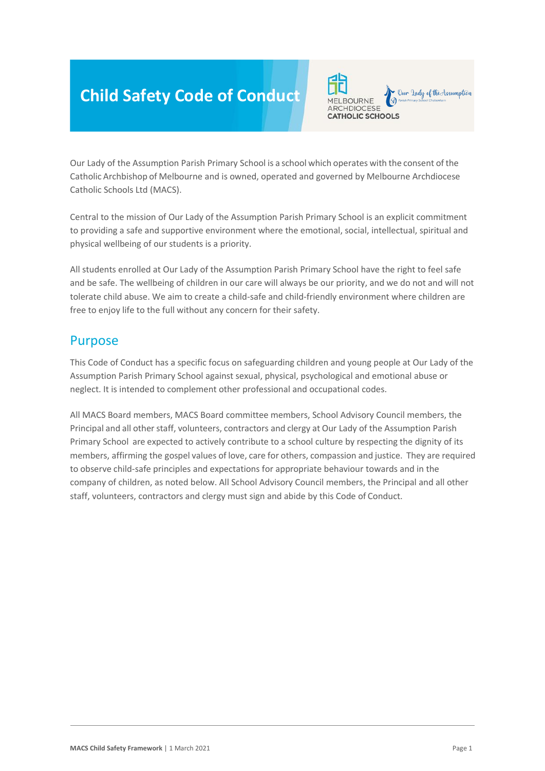# **Child Safety Code of Conduct**



Our Lady of the Assumption Parish Primary School is a school which operates with the consent of the Catholic Archbishop of Melbourne and is owned, operated and governed by Melbourne Archdiocese Catholic Schools Ltd (MACS).

Central to the mission of Our Lady of the Assumption Parish Primary School is an explicit commitment to providing a safe and supportive environment where the emotional, social, intellectual, spiritual and physical wellbeing of our students is a priority.

All students enrolled at Our Lady of the Assumption Parish Primary School have the right to feel safe and be safe. The wellbeing of children in our care will always be our priority, and we do not and will not tolerate child abuse. We aim to create a child-safe and child-friendly environment where children are free to enjoy life to the full without any concern for their safety.

#### Purpose

This Code of Conduct has a specific focus on safeguarding children and young people at Our Lady of the Assumption Parish Primary School against sexual, physical, psychological and emotional abuse or neglect. It is intended to complement other professional and occupational codes.

All MACS Board members, MACS Board committee members, School Advisory Council members, the Principal and all other staff, volunteers, contractors and clergy at Our Lady of the Assumption Parish Primary School are expected to actively contribute to a school culture by respecting the dignity of its members, affirming the gospel values of love, care for others, compassion and justice. They are required to observe child-safe principles and expectations for appropriate behaviour towards and in the company of children, as noted below. All School Advisory Council members, the Principal and all other staff, volunteers, contractors and clergy must sign and abide by this Code of Conduct.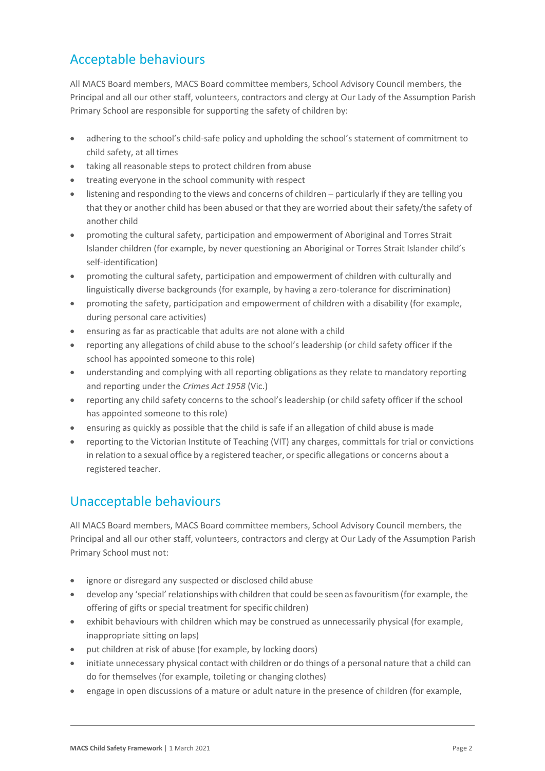# Acceptable behaviours

All MACS Board members, MACS Board committee members, School Advisory Council members, the Principal and all our other staff, volunteers, contractors and clergy at Our Lady of the Assumption Parish Primary School are responsible for supporting the safety of children by:

- adhering to the school's child-safe policy and upholding the school's statement of commitment to child safety, at all times
- taking all reasonable steps to protect children from abuse
- treating everyone in the school community with respect
- listening and responding to the views and concerns of children particularly if they are telling you that they or another child has been abused or that they are worried about their safety/the safety of another child
- promoting the cultural safety, participation and empowerment of Aboriginal and Torres Strait Islander children (for example, by never questioning an Aboriginal or Torres Strait Islander child's self-identification)
- promoting the cultural safety, participation and empowerment of children with culturally and linguistically diverse backgrounds (for example, by having a zero-tolerance for discrimination)
- promoting the safety, participation and empowerment of children with a disability (for example, during personal care activities)
- ensuring as far as practicable that adults are not alone with a child
- reporting any allegations of child abuse to the school's leadership (or child safety officer if the school has appointed someone to this role)
- understanding and complying with all reporting obligations as they relate to mandatory reporting and reporting under the *Crimes Act 1958* (Vic.)
- reporting any child safety concerns to the school's leadership (or child safety officer if the school has appointed someone to this role)
- ensuring as quickly as possible that the child is safe if an allegation of child abuse is made
- reporting to the Victorian Institute of Teaching (VIT) any charges, committals for trial or convictions in relation to a sexual office by a registered teacher, or specific allegations or concerns about a registered teacher.

## Unacceptable behaviours

All MACS Board members, MACS Board committee members, School Advisory Council members, the Principal and all our other staff, volunteers, contractors and clergy at Our Lady of the Assumption Parish Primary School must not:

- ignore or disregard any suspected or disclosed child abuse
- develop any 'special'relationships with children that could be seen asfavouritism (for example, the offering of gifts or special treatment for specific children)
- exhibit behaviours with children which may be construed as unnecessarily physical (for example, inappropriate sitting on laps)
- put children at risk of abuse (for example, by locking doors)
- initiate unnecessary physical contact with children or do things of a personal nature that a child can do for themselves (for example, toileting or changing clothes)
- engage in open discussions of a mature or adult nature in the presence of children (for example,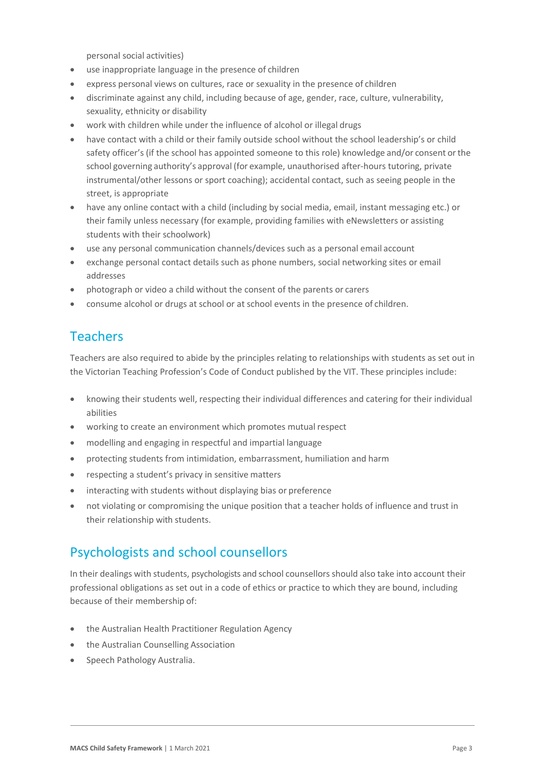personal social activities)

- use inappropriate language in the presence of children
- express personal views on cultures, race or sexuality in the presence of children
- discriminate against any child, including because of age, gender, race, culture, vulnerability, sexuality, ethnicity or disability
- work with children while under the influence of alcohol or illegal drugs
- have contact with a child or their family outside school without the school leadership's or child safety officer's (if the school has appointed someone to this role) knowledge and/or consent or the school governing authority's approval (for example, unauthorised after-hours tutoring, private instrumental/other lessons or sport coaching); accidental contact, such as seeing people in the street, is appropriate
- have any online contact with a child (including by social media, email, instant messaging etc.) or their family unless necessary (for example, providing families with eNewsletters or assisting students with their schoolwork)
- use any personal communication channels/devices such as a personal email account
- exchange personal contact details such as phone numbers, social networking sites or email addresses
- photograph or video a child without the consent of the parents or carers
- consume alcohol or drugs at school or at school events in the presence of children.

### Teachers

Teachers are also required to abide by the principles relating to relationships with students as set out in the Victorian Teaching Profession's Code of Conduct published by the VIT. These principles include:

- knowing their students well, respecting their individual differences and catering for their individual abilities
- working to create an environment which promotes mutual respect
- modelling and engaging in respectful and impartial language
- protecting students from intimidation, embarrassment, humiliation and harm
- respecting a student's privacy in sensitive matters
- interacting with students without displaying bias or preference
- not violating or compromising the unique position that a teacher holds of influence and trust in their relationship with students.

#### Psychologists and school counsellors

In their dealings with students, psychologists and school counsellorsshould also take into account their professional obligations as set out in a code of ethics or practice to which they are bound, including because of their membership of:

- the Australian Health Practitioner Regulation Agency
- the Australian Counselling Association
- Speech Pathology Australia.